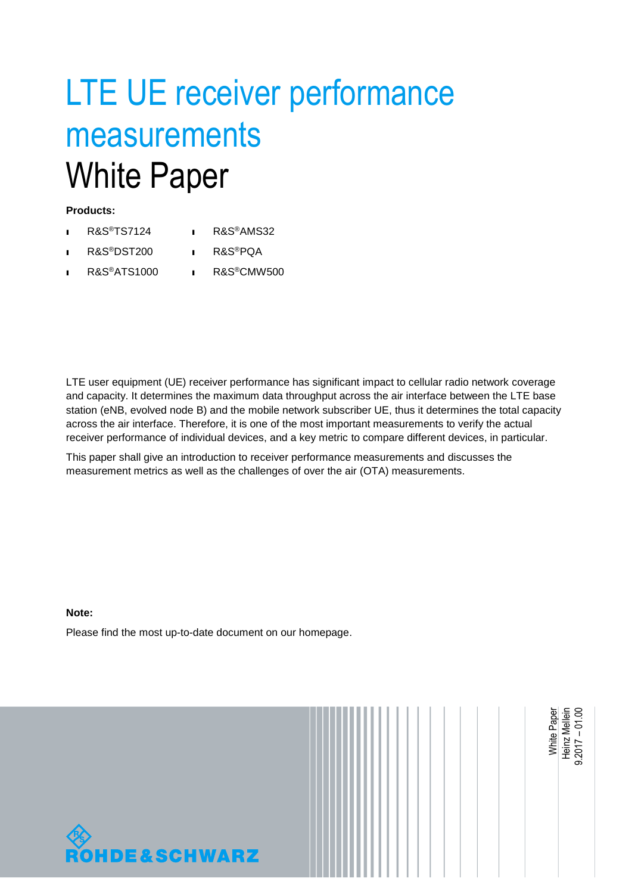# LTE UE receiver performance measurements White Paper

#### **Products:**

- ı R&S®TS7124 ı R&S®AMS32
- ı R&S®DST200 ı R&S®PQA
- ı R&S®ATS1000 ı R&S®CMW500

LTE user equipment (UE) receiver performance has significant impact to cellular radio network coverage and capacity. It determines the maximum data throughput across the air interface between the LTE base station (eNB, evolved node B) and the mobile network subscriber UE, thus it determines the total capacity across the air interface. Therefore, it is one of the most important measurements to verify the actual receiver performance of individual devices, and a key metric to compare different devices, in particular.

This paper shall give an introduction to receiver performance measurements and discusses the measurement metrics as well as the challenges of over the air (OTA) measurements.

#### **Note:**

Please find the most up-to-date document on our homepage.



<span id="page-0-0"></span>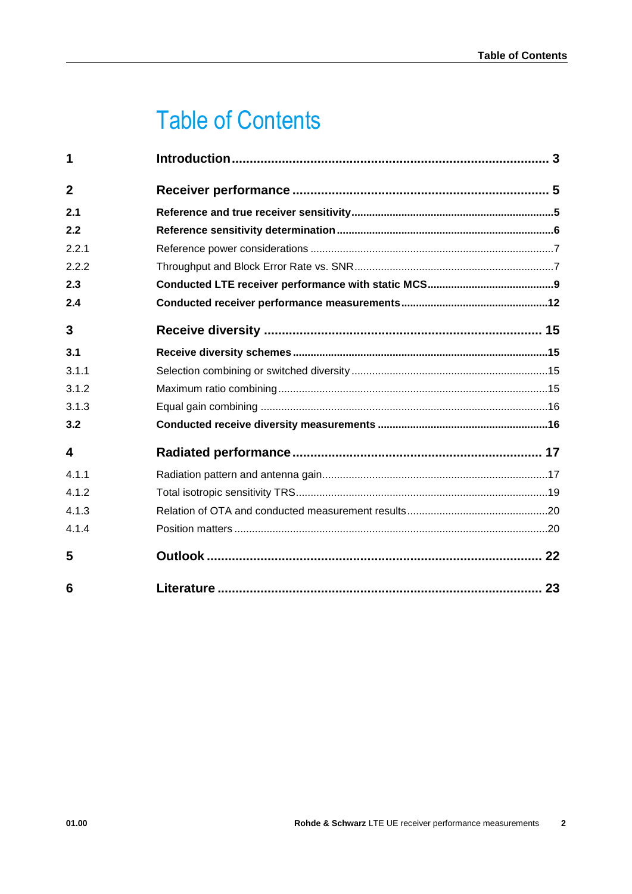# Table of Contents

| 1              |  |
|----------------|--|
| $\overline{2}$ |  |
| 2.1            |  |
| 2.2            |  |
| 2.2.1          |  |
| 2.2.2          |  |
| 2.3            |  |
| 2.4            |  |
| 3              |  |
| 3.1            |  |
| 3.1.1          |  |
| 3.1.2          |  |
| 3.1.3          |  |
| 3.2            |  |
| 4              |  |
| 4.1.1          |  |
| 4.1.2          |  |
| 4.1.3          |  |
| 4.1.4          |  |
| 5              |  |
| 6              |  |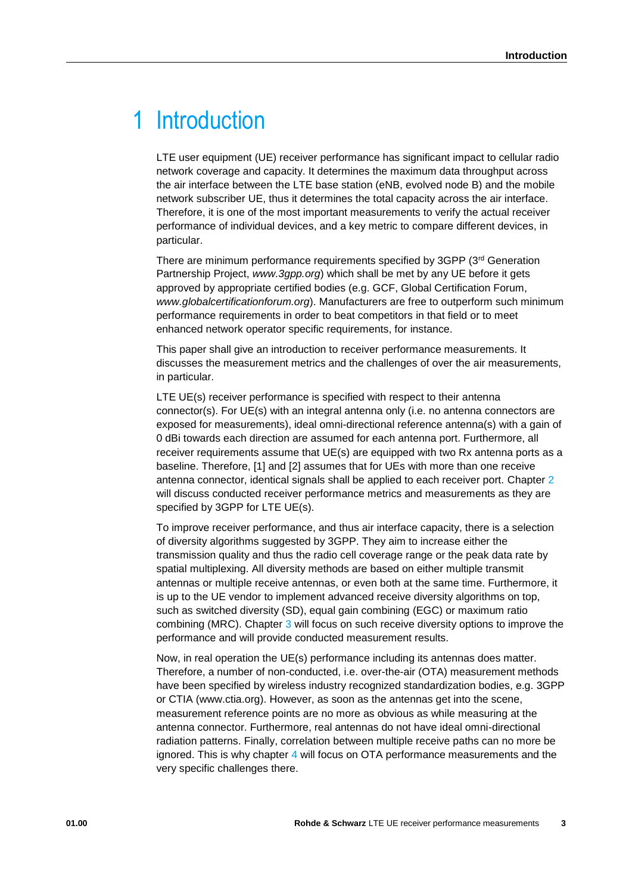# <span id="page-2-0"></span>1 Introduction

LTE user equipment (UE) receiver performance has significant impact to cellular radio network coverage and capacity. It determines the maximum data throughput across the air interface between the LTE base station (eNB, evolved node B) and the mobile network subscriber UE, thus it determines the total capacity across the air interface. Therefore, it is one of the most important measurements to verify the actual receiver performance of individual devices, and a key metric to compare different devices, in particular.

There are minimum performance requirements specified by 3GPP (3rd Generation Partnership Project, *www.3gpp.org*) which shall be met by any UE before it gets approved by appropriate certified bodies (e.g. GCF, Global Certification Forum, *www.globalcertificationforum.org*). Manufacturers are free to outperform such minimum performance requirements in order to beat competitors in that field or to meet enhanced network operator specific requirements, for instance.

This paper shall give an introduction to receiver performance measurements. It discusses the measurement metrics and the challenges of over the air measurements, in particular.

LTE UE(s) receiver performance is specified with respect to their antenna connector(s). For UE(s) with an integral antenna only (i.e. no antenna connectors are exposed for measurements), ideal omni-directional reference antenna(s) with a gain of 0 dBi towards each direction are assumed for each antenna port. Furthermore, all receiver requirements assume that UE(s) are equipped with two Rx antenna ports as a baseline. Therefore, [1] and [2] assumes that for UEs with more than one receive antenna connector, identical signals shall be applied to each receiver port. Chapter [2](#page-4-0) will discuss conducted receiver performance metrics and measurements as they are specified by 3GPP for LTE UE(s).

To improve receiver performance, and thus air interface capacity, there is a selection of diversity algorithms suggested by 3GPP. They aim to increase either the transmission quality and thus the radio cell coverage range or the peak data rate by spatial multiplexing. All diversity methods are based on either multiple transmit antennas or multiple receive antennas, or even both at the same time. Furthermore, it is up to the UE vendor to implement advanced receive diversity algorithms on top, such as switched diversity (SD), equal gain combining (EGC) or maximum ratio combining (MRC). Chapter [3](#page-14-0) will focus on such receive diversity options to improve the performance and will provide conducted measurement results.

Now, in real operation the UE(s) performance including its antennas does matter. Therefore, a number of non-conducted, i.e. over-the-air (OTA) measurement methods have been specified by wireless industry recognized standardization bodies, e.g. 3GPP or CTIA (www.ctia.org). However, as soon as the antennas get into the scene, measurement reference points are no more as obvious as while measuring at the antenna connector. Furthermore, real antennas do not have ideal omni-directional radiation patterns. Finally, correlation between multiple receive paths can no more be ignored. This is why chapter [4](#page-16-0) will focus on OTA performance measurements and the very specific challenges there.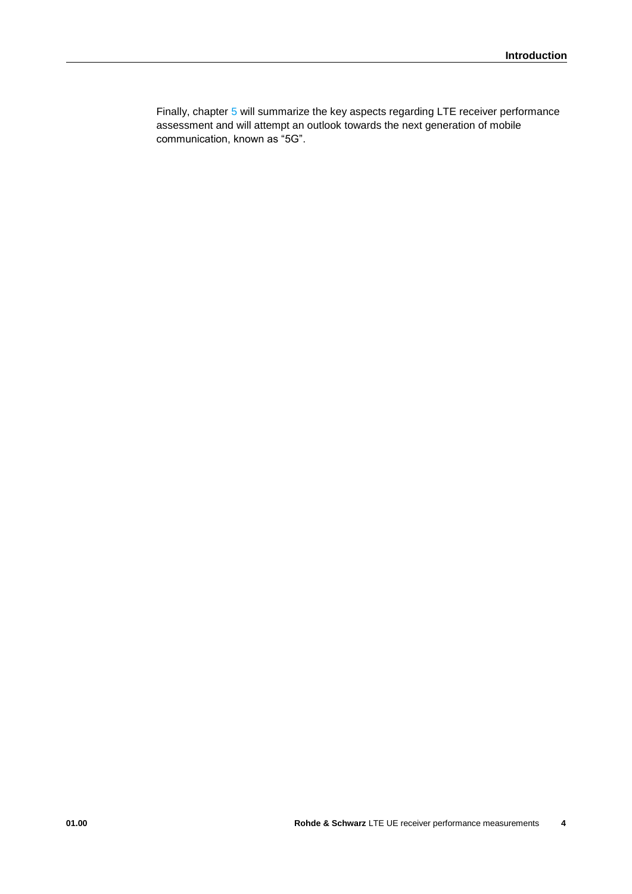Finally, chapter [5](#page-21-0) will summarize the key aspects regarding LTE receiver performance assessment and will attempt an outlook towards the next generation of mobile communication, known as "5G".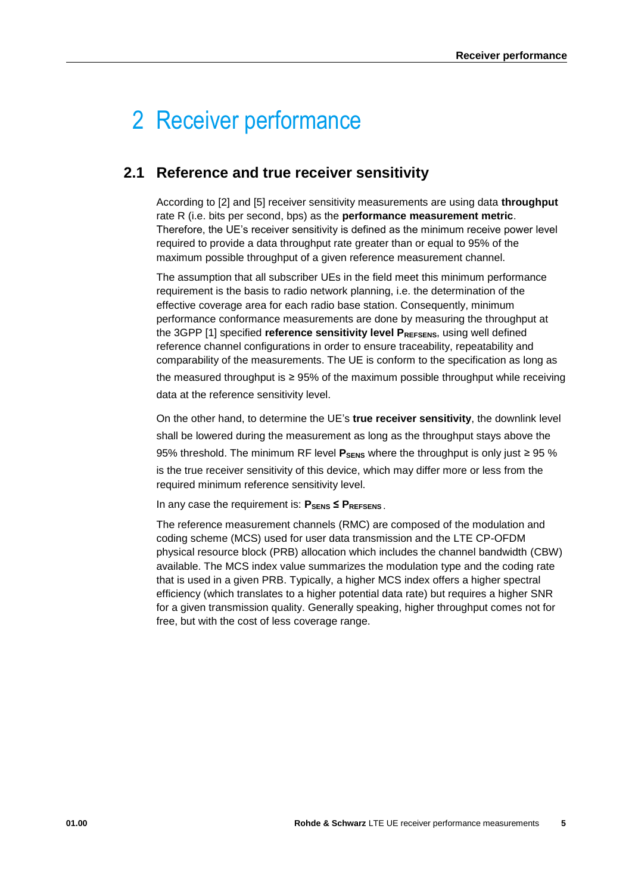# <span id="page-4-0"></span>2 Receiver performance

# <span id="page-4-1"></span>**2.1 Reference and true receiver sensitivity**

According to [2] and [5] receiver sensitivity measurements are using data **throughput** rate R (i.e. bits per second, bps) as the **performance measurement metric**. Therefore, the UE's receiver sensitivity is defined as the minimum receive power level required to provide a data throughput rate greater than or equal to 95% of the maximum possible throughput of a given reference measurement channel.

The assumption that all subscriber UEs in the field meet this minimum performance requirement is the basis to radio network planning, i.e. the determination of the effective coverage area for each radio base station. Consequently, minimum performance conformance measurements are done by measuring the throughput at the 3GPP [1] specified **reference sensitivity level P**REFSENS, using well defined reference channel configurations in order to ensure traceability, repeatability and comparability of the measurements. The UE is conform to the specification as long as the measured throughput is ≥ 95% of the maximum possible throughput while receiving data at the reference sensitivity level.

On the other hand, to determine the UE's **true receiver sensitivity**, the downlink level shall be lowered during the measurement as long as the throughput stays above the 95% threshold. The minimum RF level P<sub>SENS</sub> where the throughput is only just ≥ 95 % is the true receiver sensitivity of this device, which may differ more or less from the required minimum reference sensitivity level.

In any case the requirement is:  $P_{\text{SENS}} \leq P_{\text{REFSENS}}$ .

The reference measurement channels (RMC) are composed of the modulation and coding scheme (MCS) used for user data transmission and the LTE CP-OFDM physical resource block (PRB) allocation which includes the channel bandwidth (CBW) available. The MCS index value summarizes the modulation type and the coding rate that is used in a given PRB. Typically, a higher MCS index offers a higher spectral efficiency (which translates to a higher potential data rate) but requires a higher SNR for a given transmission quality. Generally speaking, higher throughput comes not for free, but with the cost of less coverage range.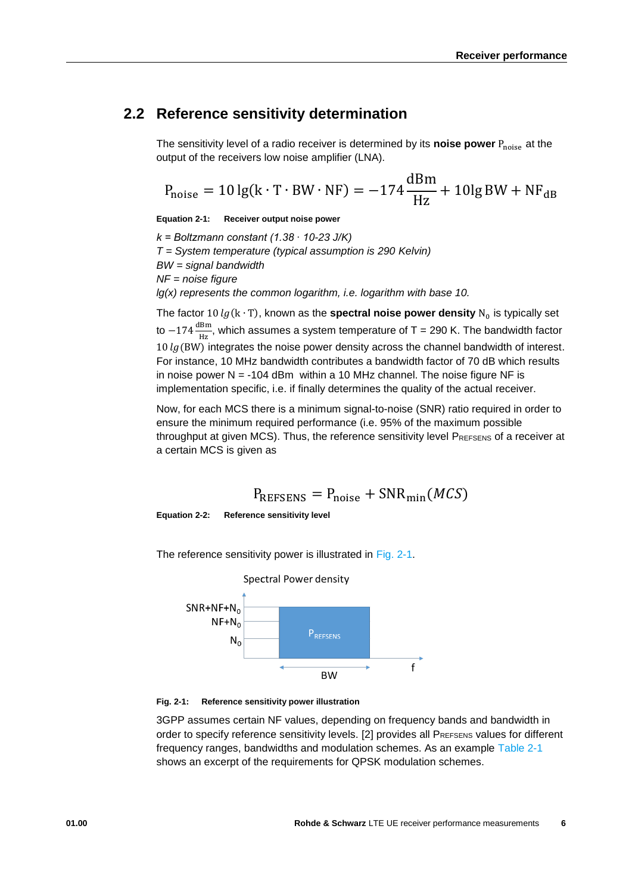## <span id="page-5-0"></span>**2.2 Reference sensitivity determination**

The sensitivity level of a radio receiver is determined by its **noise power**  $P_{noise}$  at the output of the receivers low noise amplifier (LNA).

$$
P_{\text{noise}} = 10 \lg(k \cdot T \cdot BW \cdot NF) = -174 \frac{dBm}{Hz} + 10 \lg BW + NF_{dB}
$$

**Equation 2-1: Receiver output noise power**

*k = Boltzmann constant (1.38 ∙ 10-23 J/K) T = System temperature (typical assumption is 290 Kelvin) BW = signal bandwidth NF = noise figure lg(x) represents the common logarithm, i.e. logarithm with base 10.*

The factor 10  $lg$  (k  $\cdot$  T), known as the **spectral noise power density**  $N_0$  is typically set to  $-174\frac{\text{dBm}}{\text{Hz}}$ , which assumes a system temperature of T = 290 K. The bandwidth factor  $10 \lg$  (BW) integrates the noise power density across the channel bandwidth of interest. For instance, 10 MHz bandwidth contributes a bandwidth factor of 70 dB which results in noise power  $N = -104$  dBm within a 10 MHz channel. The noise figure NF is implementation specific, i.e. if finally determines the quality of the actual receiver.

Now, for each MCS there is a minimum signal-to-noise (SNR) ratio required in order to ensure the minimum required performance (i.e. 95% of the maximum possible throughput at given MCS). Thus, the reference sensitivity level PREFSENS of a receiver at a certain MCS is given as

$$
P_{REFSENS} = P_{noise} + SNR_{min}(MCS)
$$

<span id="page-5-2"></span>**Equation 2-2: Reference sensitivity level**

The reference sensitivity power is illustrated in [Fig. 2-1.](#page-5-1)



<span id="page-5-1"></span>

3GPP assumes certain NF values, depending on frequency bands and bandwidth in order to specify reference sensitivity levels. [2] provides all PREFSENS values for different frequency ranges, bandwidths and modulation schemes. As an example [Table 2-1](#page-6-2) shows an excerpt of the requirements for QPSK modulation schemes.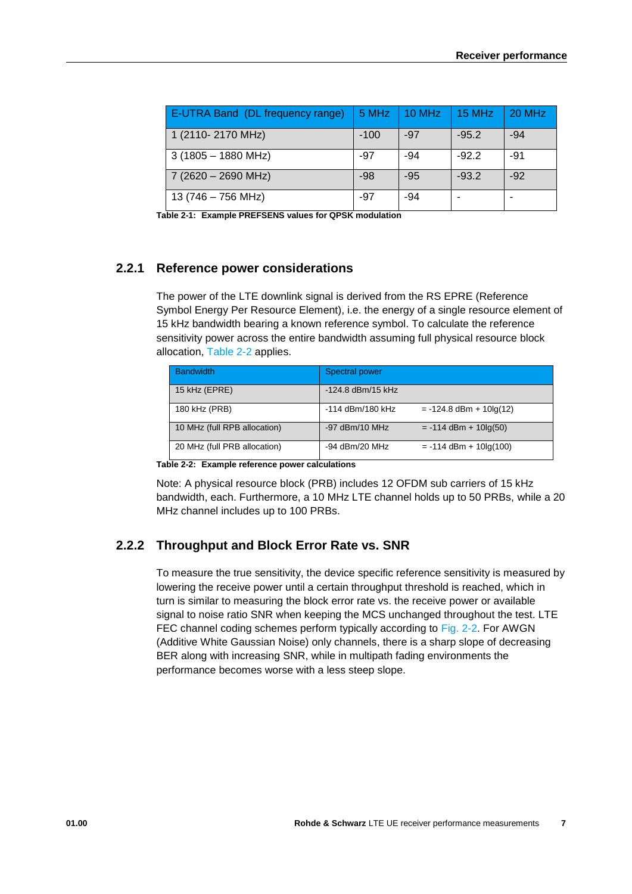| E-UTRA Band (DL frequency range) | 5 MHz  | $10$ MHz | 15 MHz  | 20 MHz |
|----------------------------------|--------|----------|---------|--------|
| 1 (2110-2170 MHz)                | $-100$ | -97      | $-95.2$ | $-94$  |
| $3(1805 - 1880 \text{ MHz})$     | -97    | -94      | $-92.2$ | -91    |
| 7 (2620 - 2690 MHz)              | $-98$  | $-95$    | $-93.2$ | $-92$  |
| 13 (746 - 756 MHz)               | -97    | -94      |         |        |

<span id="page-6-2"></span><span id="page-6-0"></span>**Table 2-1: Example PREFSENS values for QPSK modulation**

#### **2.2.1 Reference power considerations**

The power of the LTE downlink signal is derived from the RS EPRE (Reference Symbol Energy Per Resource Element), i.e. the energy of a single resource element of 15 kHz bandwidth bearing a known reference symbol. To calculate the reference sensitivity power across the entire bandwidth assuming full physical resource block allocation, [Table 2-2](#page-6-3) applies.

| <b>Bandwidth</b>             | Spectral power                                |
|------------------------------|-----------------------------------------------|
| 15 kHz (EPRE)                | -124.8 dBm/15 kHz                             |
| 180 kHz (PRB)                | -114 dBm/180 kHz<br>$= -124.8$ dBm + 10lg(12) |
| 10 MHz (full RPB allocation) | $-97$ dBm/10 MHz<br>$= -114$ dBm + 10lg(50)   |
| 20 MHz (full PRB allocation) | $-94$ dBm/20 MHz<br>$= -114$ dBm + 10lg(100)  |

<span id="page-6-3"></span>**Table 2-2: Example reference power calculations**

Note: A physical resource block (PRB) includes 12 OFDM sub carriers of 15 kHz bandwidth, each. Furthermore, a 10 MHz LTE channel holds up to 50 PRBs, while a 20 MHz channel includes up to 100 PRBs.

### <span id="page-6-1"></span>**2.2.2 Throughput and Block Error Rate vs. SNR**

To measure the true sensitivity, the device specific reference sensitivity is measured by lowering the receive power until a certain throughput threshold is reached, which in turn is similar to measuring the block error rate vs. the receive power or available signal to noise ratio SNR when keeping the MCS unchanged throughout the test. LTE FEC channel coding schemes perform typically according to [Fig. 2-2.](#page-7-0) For AWGN (Additive White Gaussian Noise) only channels, there is a sharp slope of decreasing BER along with increasing SNR, while in multipath fading environments the performance becomes worse with a less steep slope.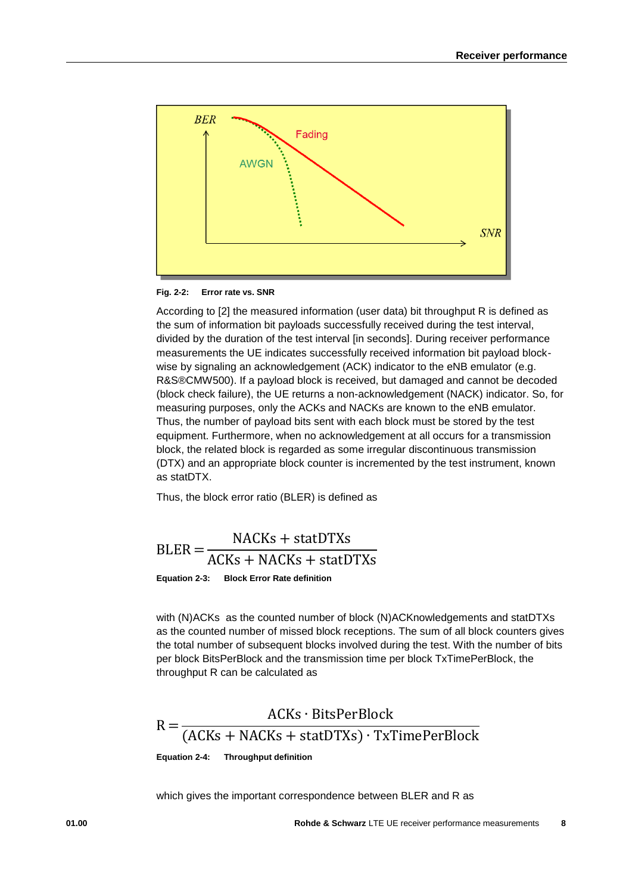

<span id="page-7-0"></span>**Fig. 2-2: Error rate vs. SNR**

According to [2] the measured information (user data) bit throughput R is defined as the sum of information bit payloads successfully received during the test interval, divided by the duration of the test interval [in seconds]. During receiver performance measurements the UE indicates successfully received information bit payload blockwise by signaling an acknowledgement (ACK) indicator to the eNB emulator (e.g. R&S®CMW500). If a payload block is received, but damaged and cannot be decoded (block check failure), the UE returns a non-acknowledgement (NACK) indicator. So, for measuring purposes, only the ACKs and NACKs are known to the eNB emulator. Thus, the number of payload bits sent with each block must be stored by the test equipment. Furthermore, when no acknowledgement at all occurs for a transmission block, the related block is regarded as some irregular discontinuous transmission (DTX) and an appropriate block counter is incremented by the test instrument, known as statDTX.

Thus, the block error ratio (BLER) is defined as

 $BLER =$ NACKs + statDTXs ACKs + NACKs + statDTXs **Equation 2-3: Block Error Rate definition**

with (N)ACKs as the counted number of block (N)ACKnowledgements and statDTXs as the counted number of missed block receptions. The sum of all block counters gives the total number of subsequent blocks involved during the test. With the number of bits per block BitsPerBlock and the transmission time per block TxTimePerBlock, the throughput R can be calculated as



which gives the important correspondence between BLER and R as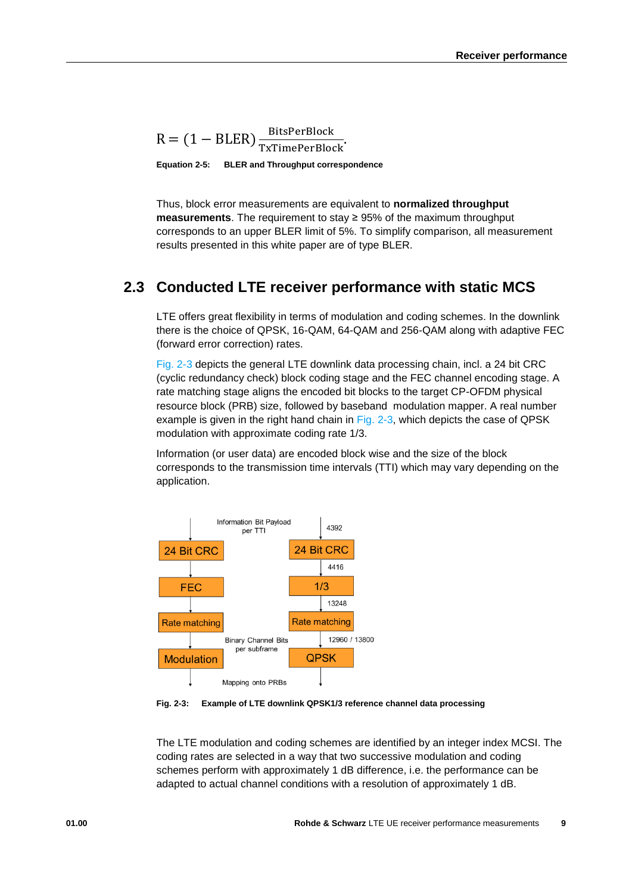$R = (1 - BLER) \frac{BitsPerBlock}{TxTimePerBlock}.$ 

**Equation 2-5: BLER and Throughput correspondence**

Thus, block error measurements are equivalent to **normalized throughput measurements**. The requirement to stay ≥ 95% of the maximum throughput corresponds to an upper BLER limit of 5%. To simplify comparison, all measurement results presented in this white paper are of type BLER.

# <span id="page-8-0"></span>**2.3 Conducted LTE receiver performance with static MCS**

LTE offers great flexibility in terms of modulation and coding schemes. In the downlink there is the choice of QPSK, 16-QAM, 64-QAM and 256-QAM along with adaptive FEC (forward error correction) rates.

[Fig. 2-3](#page-8-1) depicts the general LTE downlink data processing chain, incl. a 24 bit CRC (cyclic redundancy check) block coding stage and the FEC channel encoding stage. A rate matching stage aligns the encoded bit blocks to the target CP-OFDM physical resource block (PRB) size, followed by baseband modulation mapper. A real number example is given in the right hand chain in [Fig. 2-3,](#page-8-1) which depicts the case of QPSK modulation with approximate coding rate 1/3.

Information (or user data) are encoded block wise and the size of the block corresponds to the transmission time intervals (TTI) which may vary depending on the application.



<span id="page-8-1"></span>**Fig. 2-3: Example of LTE downlink QPSK1/3 reference channel data processing**

The LTE modulation and coding schemes are identified by an integer index MCSI. The coding rates are selected in a way that two successive modulation and coding schemes perform with approximately 1 dB difference, i.e. the performance can be adapted to actual channel conditions with a resolution of approximately 1 dB.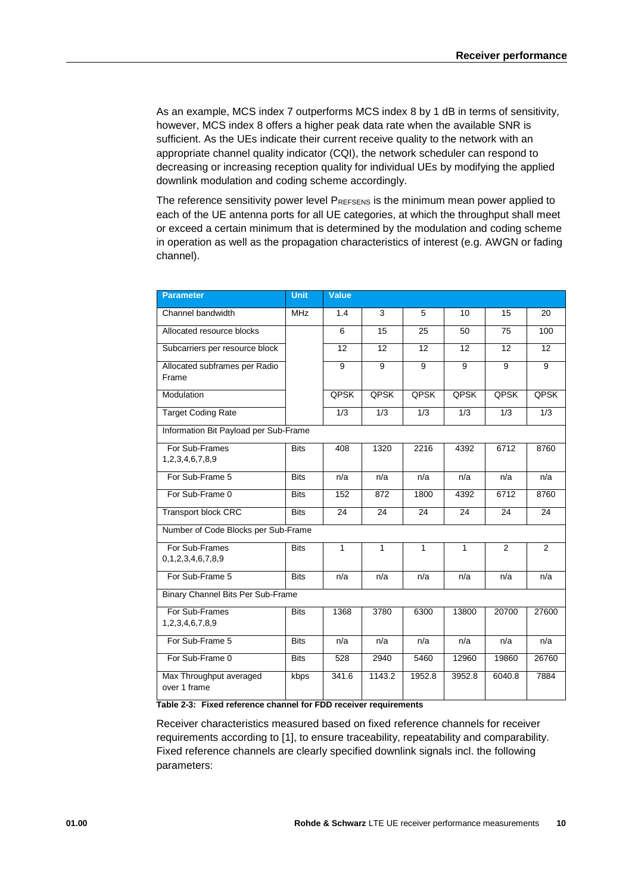As an example, MCS index 7 outperforms MCS index 8 by 1 dB in terms of sensitivity, however, MCS index 8 offers a higher peak data rate when the available SNR is sufficient. As the UEs indicate their current receive quality to the network with an appropriate channel quality indicator (CQI), the network scheduler can respond to decreasing or increasing reception quality for individual UEs by modifying the applied downlink modulation and coding scheme accordingly.

The reference sensitivity power level PREFSENS is the minimum mean power applied to each of the UE antenna ports for all UE categories, at which the throughput shall meet or exceed a certain minimum that is determined by the modulation and coding scheme in operation as well as the propagation characteristics of interest (e.g. AWGN or fading channel).

| <b>Parameter</b>                        | <b>Unit</b> | <b>Value</b> |                 |              |        |                 |                 |
|-----------------------------------------|-------------|--------------|-----------------|--------------|--------|-----------------|-----------------|
| Channel bandwidth                       | <b>MHz</b>  | 1.4          | 3               | 5            | 10     | 15              | $\overline{20}$ |
| Allocated resource blocks               |             | 6            | 15              | 25           | 50     | 75              | 100             |
| Subcarriers per resource block          |             | 12           | $\overline{12}$ | 12           | 12     | $\overline{12}$ | $\overline{12}$ |
| Allocated subframes per Radio<br>Frame  |             | 9            | 9               | 9            | 9      | 9               | 9               |
| Modulation                              |             | <b>QPSK</b>  | <b>QPSK</b>     | <b>QPSK</b>  | QPSK   | <b>QPSK</b>     | <b>QPSK</b>     |
| <b>Target Coding Rate</b>               |             | 1/3          | 1/3             | 1/3          | 1/3    | 1/3             | 1/3             |
| Information Bit Payload per Sub-Frame   |             |              |                 |              |        |                 |                 |
| For Sub-Frames<br>1,2,3,4,6,7,8,9       | <b>Bits</b> | 408          | 1320            | 2216         | 4392   | 6712            | 8760            |
| For Sub-Frame 5                         | <b>Bits</b> | n/a          | n/a             | n/a          | n/a    | n/a             | n/a             |
| For Sub-Frame 0                         | <b>Bits</b> | 152          | 872             | 1800         | 4392   | 6712            | 8760            |
| <b>Transport block CRC</b>              | <b>Bits</b> | 24           | 24              | 24           | 24     | 24              | 24              |
| Number of Code Blocks per Sub-Frame     |             |              |                 |              |        |                 |                 |
| For Sub-Frames<br>0,1,2,3,4,6,7,8,9     | <b>Bits</b> | $\mathbf{1}$ | $\mathbf{1}$    | $\mathbf{1}$ | 1      | 2               | $\overline{2}$  |
| For Sub-Frame 5                         | <b>Bits</b> | n/a          | n/a             | n/a          | n/a    | n/a             | n/a             |
| Binary Channel Bits Per Sub-Frame       |             |              |                 |              |        |                 |                 |
| For Sub-Frames<br>1,2,3,4,6,7,8,9       | <b>Bits</b> | 1368         | 3780            | 6300         | 13800  | 20700           | 27600           |
| For Sub-Frame 5                         | <b>Bits</b> | n/a          | n/a             | n/a          | n/a    | n/a             | n/a             |
| For Sub-Frame 0                         | <b>Bits</b> | 528          | 2940            | 5460         | 12960  | 19860           | 26760           |
| Max Throughput averaged<br>over 1 frame | kbps        | 341.6        | 1143.2          | 1952.8       | 3952.8 | 6040.8          | 7884            |

<span id="page-9-0"></span>**Table 2-3: Fixed reference channel for FDD receiver requirements**

Receiver characteristics measured based on fixed reference channels for receiver requirements according to [1], to ensure traceability, repeatability and comparability. Fixed reference channels are clearly specified downlink signals incl. the following parameters: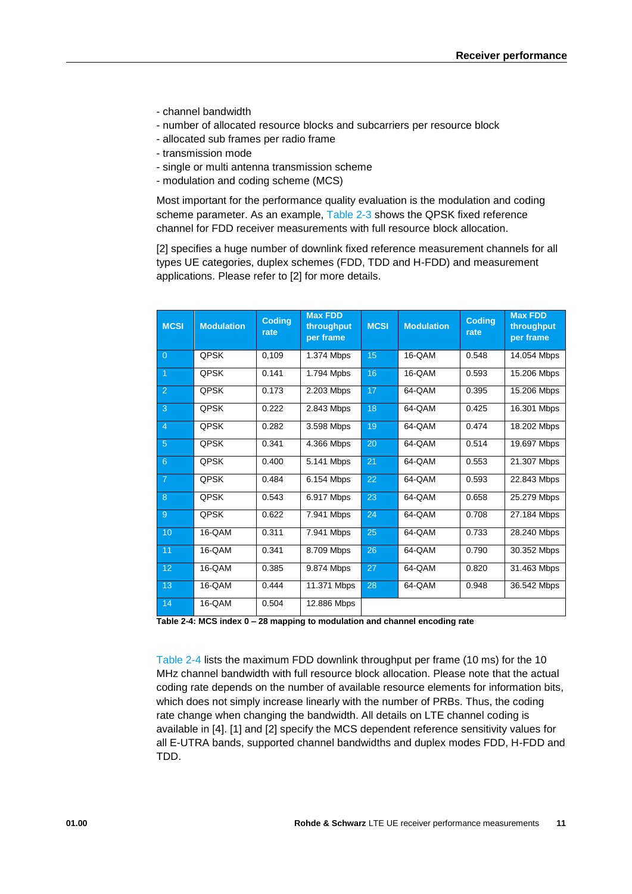- channel bandwidth
- number of allocated resource blocks and subcarriers per resource block
- allocated sub frames per radio frame
- transmission mode
- single or multi antenna transmission scheme
- modulation and coding scheme (MCS)

Most important for the performance quality evaluation is the modulation and coding scheme parameter. As an example, [Table 2-3](#page-9-0) shows the QPSK fixed reference channel for FDD receiver measurements with full resource block allocation.

[2] specifies a huge number of downlink fixed reference measurement channels for all types UE categories, duplex schemes (FDD, TDD and H-FDD) and measurement applications. Please refer to [2] for more details.

| <b>MCSI</b>    | <b>Modulation</b> | <b>Coding</b><br>rate | <b>Max FDD</b><br>throughput<br>per frame | <b>MCSI</b> | <b>Modulation</b> | <b>Coding</b><br>rate | <b>Max FDD</b><br>throughput<br>per frame |
|----------------|-------------------|-----------------------|-------------------------------------------|-------------|-------------------|-----------------------|-------------------------------------------|
| $\overline{0}$ | QPSK              | 0.109                 | 1.374 Mbps                                | 15          | 16-QAM            | 0.548                 | 14.054 Mbps                               |
| $\overline{1}$ | <b>QPSK</b>       | 0.141                 | 1.794 Mpbs                                | 16          | 16-QAM            | 0.593                 | 15.206 Mbps                               |
| 2              | <b>OPSK</b>       | 0.173                 | 2.203 Mbps                                | 17          | 64-QAM            | 0.395                 | 15.206 Mbps                               |
| 3              | QPSK              | 0.222                 | 2.843 Mbps                                | 18          | 64-QAM            | 0.425                 | 16.301 Mbps                               |
| $\overline{4}$ | QPSK              | 0.282                 | 3.598 Mbps                                | 19          | 64-QAM            | 0.474                 | 18.202 Mbps                               |
| 5              | QPSK              | 0.341                 | 4.366 Mbps                                | 20          | 64-QAM            | 0.514                 | 19.697 Mbps                               |
| 6              | <b>QPSK</b>       | 0.400                 | 5.141 Mbps                                | 21          | 64-QAM            | 0.553                 | 21.307 Mbps                               |
| $\overline{7}$ | <b>QPSK</b>       | 0.484                 | 6.154 Mbps                                | 22          | 64-QAM            | 0.593                 | 22.843 Mbps                               |
| 8              | <b>QPSK</b>       | 0.543                 | 6.917 Mbps                                | 23          | 64-QAM            | 0.658                 | 25.279 Mbps                               |
| 9              | <b>OPSK</b>       | 0.622                 | 7.941 Mbps                                | 24          | 64-QAM            | 0.708                 | 27.184 Mbps                               |
| 10             | 16-QAM            | 0.311                 | 7.941 Mbps                                | 25          | 64-QAM            | 0.733                 | 28.240 Mbps                               |
| 11             | 16-QAM            | 0.341                 | 8.709 Mbps                                | 26          | 64-QAM            | 0.790                 | 30.352 Mbps                               |
| 12             | 16-QAM            | 0.385                 | 9.874 Mbps                                | 27          | 64-QAM            | 0.820                 | 31.463 Mbps                               |
| 13             | 16-QAM            | 0.444                 | 11.371 Mbps                               | 28          | 64-QAM            | 0.948                 | 36.542 Mbps                               |
| 14             | 16-QAM            | 0.504                 | 12.886 Mbps                               |             |                   |                       |                                           |

<span id="page-10-0"></span>**Table 2-4: MCS index 0 – 28 mapping to modulation and channel encoding rate**

[Table 2-4](#page-10-0) lists the maximum FDD downlink throughput per frame (10 ms) for the 10 MHz channel bandwidth with full resource block allocation. Please note that the actual coding rate depends on the number of available resource elements for information bits, which does not simply increase linearly with the number of PRBs. Thus, the coding rate change when changing the bandwidth. All details on LTE channel coding is available in [4]. [1] and [2] specify the MCS dependent reference sensitivity values for all E-UTRA bands, supported channel bandwidths and duplex modes FDD, H-FDD and TDD.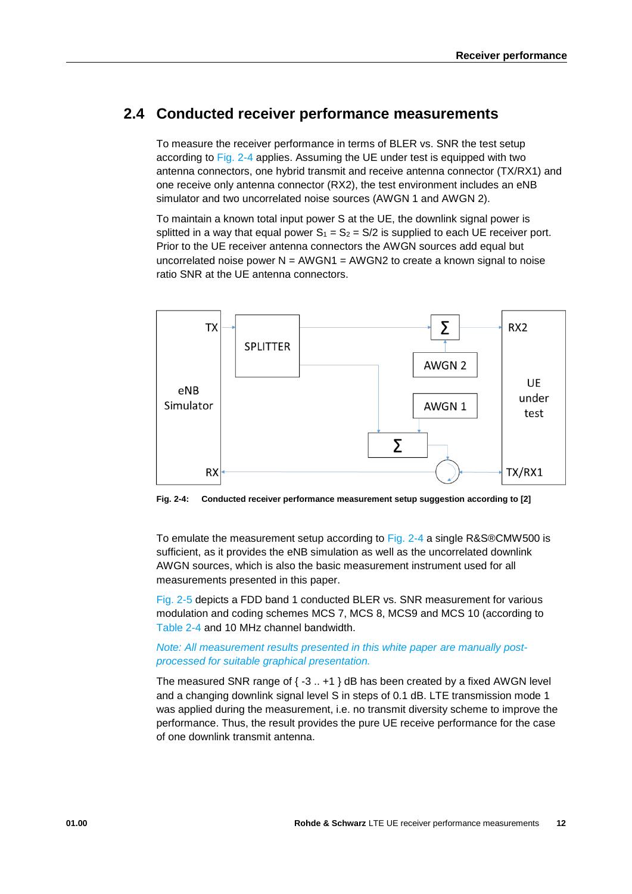# <span id="page-11-0"></span>**2.4 Conducted receiver performance measurements**

To measure the receiver performance in terms of BLER vs. SNR the test setup according to [Fig. 2-4](#page-11-1) applies. Assuming the UE under test is equipped with two antenna connectors, one hybrid transmit and receive antenna connector (TX/RX1) and one receive only antenna connector (RX2), the test environment includes an eNB simulator and two uncorrelated noise sources (AWGN 1 and AWGN 2).

To maintain a known total input power S at the UE, the downlink signal power is splitted in a way that equal power  $S_1 = S_2 = S/2$  is supplied to each UE receiver port. Prior to the UE receiver antenna connectors the AWGN sources add equal but uncorrelated noise power  $N = AWGN1 = AWGN2$  to create a known signal to noise ratio SNR at the UE antenna connectors.



<span id="page-11-1"></span>**Fig. 2-4: Conducted receiver performance measurement setup suggestion according to [2]**

To emulate the measurement setup according to [Fig. 2-4](#page-11-1) a single R&S®CMW500 is sufficient, as it provides the eNB simulation as well as the uncorrelated downlink AWGN sources, which is also the basic measurement instrument used for all measurements presented in this paper.

[Fig. 2-5](#page-12-0) depicts a FDD band 1 conducted BLER vs. SNR measurement for various modulation and coding schemes MCS 7, MCS 8, MCS9 and MCS 10 (according to [Table 2-4](#page-10-0) and 10 MHz channel bandwidth.

#### *Note: All measurement results presented in this white paper are manually postprocessed for suitable graphical presentation.*

The measured SNR range of  $\{-3..+1\}$  dB has been created by a fixed AWGN level and a changing downlink signal level S in steps of 0.1 dB. LTE transmission mode 1 was applied during the measurement, i.e. no transmit diversity scheme to improve the performance. Thus, the result provides the pure UE receive performance for the case of one downlink transmit antenna.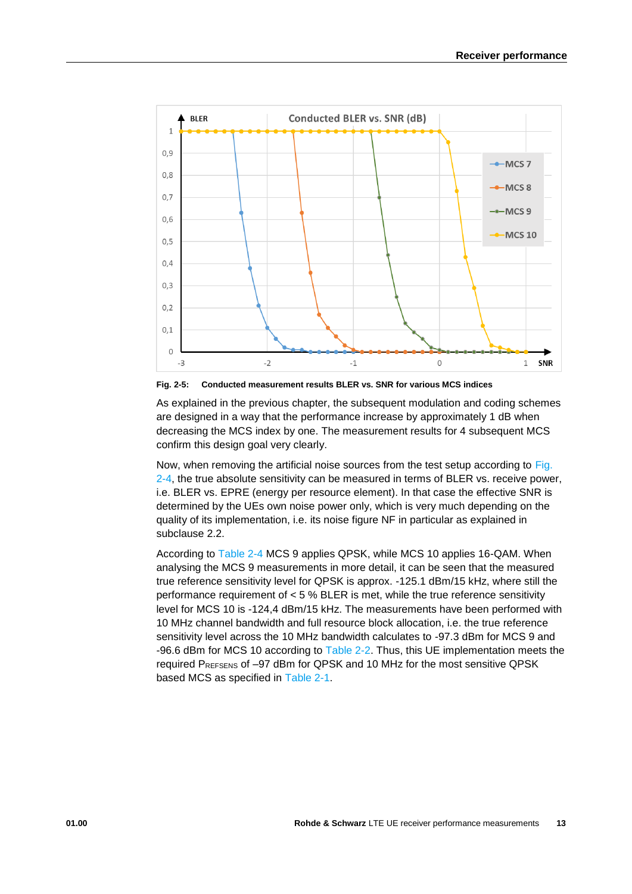

<span id="page-12-0"></span>**Fig. 2-5: Conducted measurement results BLER vs. SNR for various MCS indices**

As explained in the previous chapter, the subsequent modulation and coding schemes are designed in a way that the performance increase by approximately 1 dB when decreasing the MCS index by one. The measurement results for 4 subsequent MCS confirm this design goal very clearly.

Now, when removing the artificial noise sources from the test setup according to [Fig.](#page-11-1)  [2-4,](#page-11-1) the true absolute sensitivity can be measured in terms of BLER vs. receive power, i.e. BLER vs. EPRE (energy per resource element). In that case the effective SNR is determined by the UEs own noise power only, which is very much depending on the quality of its implementation, i.e. its noise figure NF in particular as explained in subclause 2.2.

According to [Table 2-4](#page-10-0) MCS 9 applies QPSK, while MCS 10 applies 16-QAM. When analysing the MCS 9 measurements in more detail, it can be seen that the measured true reference sensitivity level for QPSK is approx. -125.1 dBm/15 kHz, where still the performance requirement of  $< 5$ % BLER is met, while the true reference sensitivity level for MCS 10 is -124,4 dBm/15 kHz. The measurements have been performed with 10 MHz channel bandwidth and full resource block allocation, i.e. the true reference sensitivity level across the 10 MHz bandwidth calculates to -97.3 dBm for MCS 9 and -96.6 dBm for MCS 10 according to [Table 2-2.](#page-6-3) Thus, this UE implementation meets the required PREFSENS of –97 dBm for QPSK and 10 MHz for the most sensitive QPSK based MCS as specified in [Table 2-1.](#page-6-2)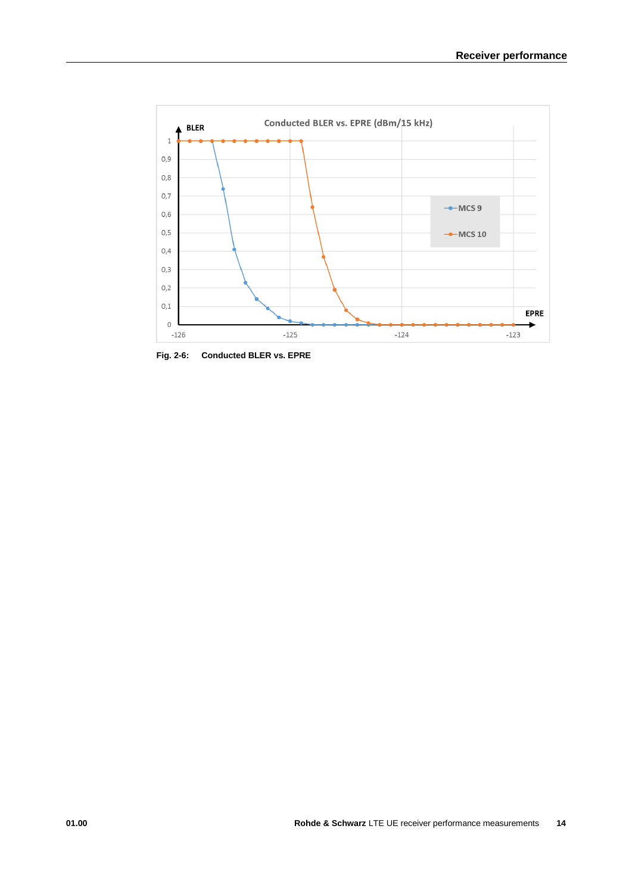

**Fig. 2-6: Conducted BLER vs. EPRE**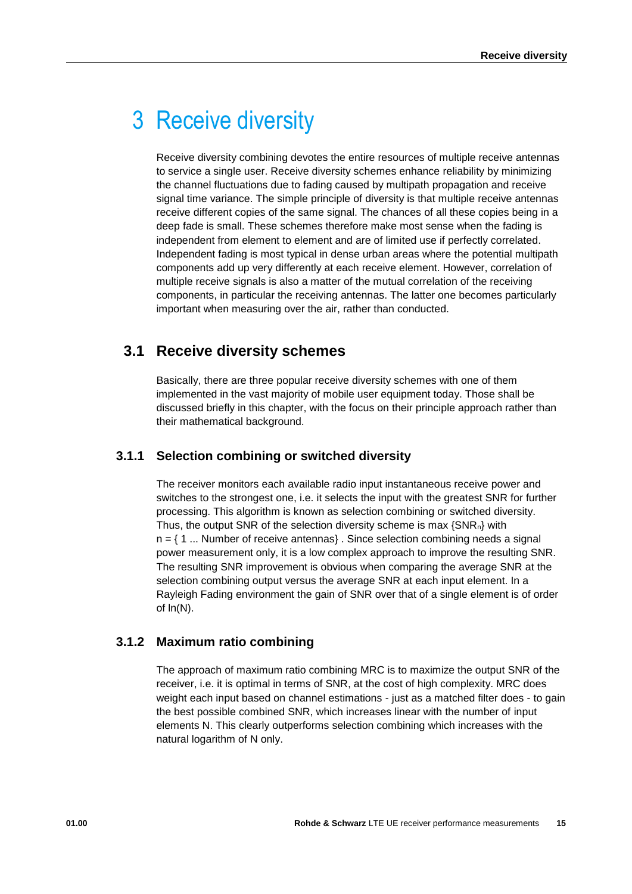# <span id="page-14-0"></span>3 Receive diversity

Receive diversity combining devotes the entire resources of multiple receive antennas to service a single user. Receive diversity schemes enhance reliability by minimizing the channel fluctuations due to fading caused by multipath propagation and receive signal time variance. The simple principle of diversity is that multiple receive antennas receive different copies of the same signal. The chances of all these copies being in a deep fade is small. These schemes therefore make most sense when the fading is independent from element to element and are of limited use if perfectly correlated. Independent fading is most typical in dense urban areas where the potential multipath components add up very differently at each receive element. However, correlation of multiple receive signals is also a matter of the mutual correlation of the receiving components, in particular the receiving antennas. The latter one becomes particularly important when measuring over the air, rather than conducted.

# <span id="page-14-1"></span>**3.1 Receive diversity schemes**

Basically, there are three popular receive diversity schemes with one of them implemented in the vast majority of mobile user equipment today. Those shall be discussed briefly in this chapter, with the focus on their principle approach rather than their mathematical background.

### <span id="page-14-2"></span>**3.1.1 Selection combining or switched diversity**

The receiver monitors each available radio input instantaneous receive power and switches to the strongest one, i.e. it selects the input with the greatest SNR for further processing. This algorithm is known as selection combining or switched diversity. Thus, the output SNR of the selection diversity scheme is max {SNRn} with  $n = \{ 1 \dots$  Number of receive antennas}. Since selection combining needs a signal power measurement only, it is a low complex approach to improve the resulting SNR. The resulting SNR improvement is obvious when comparing the average SNR at the selection combining output versus the average SNR at each input element. In a Rayleigh Fading environment the gain of SNR over that of a single element is of order of ln(N).

### <span id="page-14-3"></span>**3.1.2 Maximum ratio combining**

The approach of maximum ratio combining MRC is to maximize the output SNR of the receiver, i.e. it is optimal in terms of SNR, at the cost of high complexity. MRC does weight each input based on channel estimations - just as a matched filter does - to gain the best possible combined SNR, which increases linear with the number of input elements N. This clearly outperforms selection combining which increases with the natural logarithm of N only.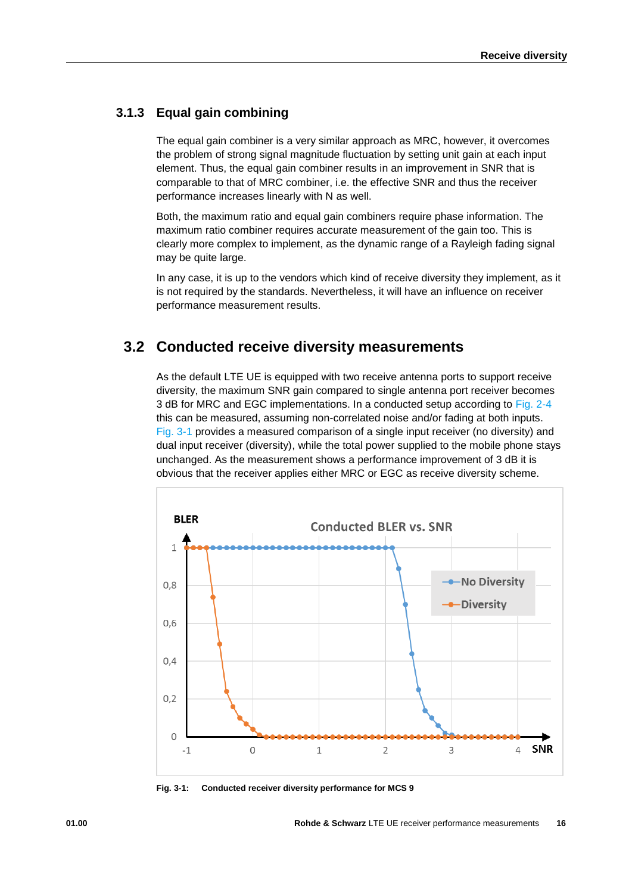### **3.1.3 Equal gain combining**

<span id="page-15-0"></span>The equal gain combiner is a very similar approach as MRC, however, it overcomes the problem of strong signal magnitude fluctuation by setting unit gain at each input element. Thus, the equal gain combiner results in an improvement in SNR that is comparable to that of MRC combiner, i.e. the effective SNR and thus the receiver performance increases linearly with N as well.

Both, the maximum ratio and equal gain combiners require phase information. The maximum ratio combiner requires accurate measurement of the gain too. This is clearly more complex to implement, as the dynamic range of a Rayleigh fading signal may be quite large.

In any case, it is up to the vendors which kind of receive diversity they implement, as it is not required by the standards. Nevertheless, it will have an influence on receiver performance measurement results.

### <span id="page-15-1"></span>**3.2 Conducted receive diversity measurements**

As the default LTE UE is equipped with two receive antenna ports to support receive diversity, the maximum SNR gain compared to single antenna port receiver becomes 3 dB for MRC and EGC implementations. In a conducted setup according to [Fig. 2-4](#page-11-1) this can be measured, assuming non-correlated noise and/or fading at both inputs. [Fig. 3-1](#page-15-2) provides a measured comparison of a single input receiver (no diversity) and dual input receiver (diversity), while the total power supplied to the mobile phone stays unchanged. As the measurement shows a performance improvement of 3 dB it is obvious that the receiver applies either MRC or EGC as receive diversity scheme.



<span id="page-15-2"></span>**Fig. 3-1: Conducted receiver diversity performance for MCS 9**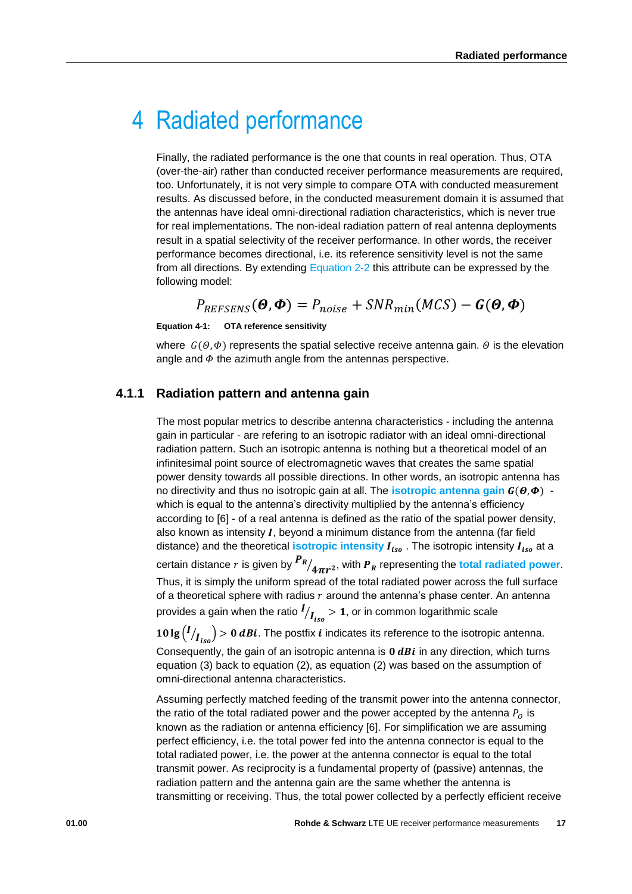# <span id="page-16-0"></span>4 Radiated performance

Finally, the radiated performance is the one that counts in real operation. Thus, OTA (over-the-air) rather than conducted receiver performance measurements are required, too. Unfortunately, it is not very simple to compare OTA with conducted measurement results. As discussed before, in the conducted measurement domain it is assumed that the antennas have ideal omni-directional radiation characteristics, which is never true for real implementations. The non-ideal radiation pattern of real antenna deployments result in a spatial selectivity of the receiver performance. In other words, the receiver performance becomes directional, i.e. its reference sensitivity level is not the same from all directions. By extending [Equation 2-2](#page-5-2) this attribute can be expressed by the following model:

$$
P_{REFSENS}(\boldsymbol{\Theta},\boldsymbol{\Phi})=P_{noise}+SNR_{min}(MCS)-\boldsymbol{G}(\boldsymbol{\Theta},\boldsymbol{\Phi})
$$

**Equation 4-1: OTA reference sensitivity**

<span id="page-16-1"></span>where  $G(\theta, \phi)$  represents the spatial selective receive antenna gain.  $\theta$  is the elevation angle and  $\Phi$  the azimuth angle from the antennas perspective.

#### **4.1.1 Radiation pattern and antenna gain**

The most popular metrics to describe antenna characteristics - including the antenna gain in particular - are refering to an isotropic radiator with an ideal omni-directional radiation pattern. Such an isotropic antenna is nothing but a theoretical model of an infinitesimal point source of electromagnetic waves that creates the same spatial power density towards all possible directions. In other words, an isotropic antenna has no directivity and thus no isotropic gain at all. The **isotropic antenna gain**  $G(\theta, \Phi)$  which is equal to the antenna's directivity multiplied by the antenna's efficiency according to [6] - of a real antenna is defined as the ratio of the spatial power density, also known as intensity  $I$ , beyond a minimum distance from the antenna (far field distance) and the theoretical **isotropic intensity**  $I_{iso}$ . The isotropic intensity  $I_{iso}$  at a certain distance  $r$  is given by  $\frac{\bm P_{\bm R}}{4\pi r^2}$ , with  $\bm P_{\bm R}$  representing the total radiated power. Thus, it is simply the uniform spread of the total radiated power across the full surface of a theoretical sphere with radius  $r$  around the antenna's phase center. An antenna provides a gain when the ratio  $I_{\big /_{Iso}}$  > 1, or in common logarithmic scale

**10 lg**  $(I/I_{iso})$  > 0 *dBi*. The postfix *i* indicates its reference to the isotropic antenna. Consequently, the gain of an isotropic antenna is  $0$   $dBi$  in any direction, which turns equation (3) back to equation (2), as equation (2) was based on the assumption of omni-directional antenna characteristics.

Assuming perfectly matched feeding of the transmit power into the antenna connector, the ratio of the total radiated power and the power accepted by the antenna  $P_0$  is known as the radiation or antenna efficiency [6]. For simplification we are assuming perfect efficiency, i.e. the total power fed into the antenna connector is equal to the total radiated power, i.e. the power at the antenna connector is equal to the total transmit power. As reciprocity is a fundamental property of (passive) antennas, the radiation pattern and the antenna gain are the same whether the antenna is transmitting or receiving. Thus, the total power collected by a perfectly efficient receive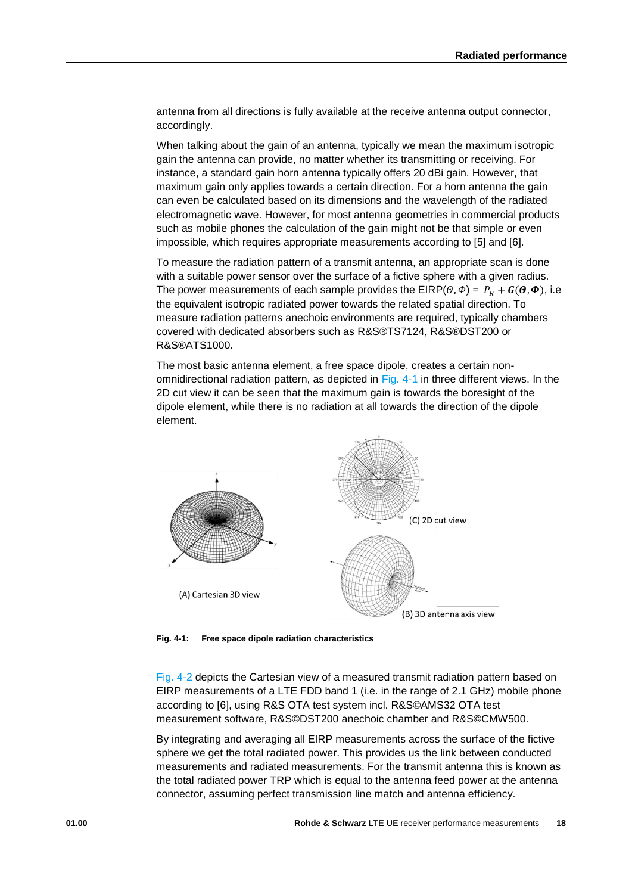antenna from all directions is fully available at the receive antenna output connector, accordingly.

When talking about the gain of an antenna, typically we mean the maximum isotropic gain the antenna can provide, no matter whether its transmitting or receiving. For instance, a standard gain horn antenna typically offers 20 dBi gain. However, that maximum gain only applies towards a certain direction. For a horn antenna the gain can even be calculated based on its dimensions and the wavelength of the radiated electromagnetic wave. However, for most antenna geometries in commercial products such as mobile phones the calculation of the gain might not be that simple or even impossible, which requires appropriate measurements according to [5] and [6].

To measure the radiation pattern of a transmit antenna, an appropriate scan is done with a suitable power sensor over the surface of a fictive sphere with a given radius. The power measurements of each sample provides the EIRP( $\theta$ , $\Phi$ ) =  $P_R + G(\theta, \Phi)$ , i.e the equivalent isotropic radiated power towards the related spatial direction. To measure radiation patterns anechoic environments are required, typically chambers covered with dedicated absorbers such as R&S®TS7124, R&S®DST200 or R&S®ATS1000.

The most basic antenna element, a free space dipole, creates a certain nonomnidirectional radiation pattern, as depicted in [Fig. 4-1](#page-17-0) in three different views. In the 2D cut view it can be seen that the maximum gain is towards the boresight of the dipole element, while there is no radiation at all towards the direction of the dipole element.



<span id="page-17-0"></span>**Fig. 4-1: Free space dipole radiation characteristics**

[Fig. 4-2](#page-18-1) depicts the Cartesian view of a measured transmit radiation pattern based on EIRP measurements of a LTE FDD band 1 (i.e. in the range of 2.1 GHz) mobile phone according to [6], using R&S OTA test system incl. R&S©AMS32 OTA test measurement software, R&S©DST200 anechoic chamber and R&S©CMW500.

By integrating and averaging all EIRP measurements across the surface of the fictive sphere we get the total radiated power. This provides us the link between conducted measurements and radiated measurements. For the transmit antenna this is known as the total radiated power TRP which is equal to the antenna feed power at the antenna connector, assuming perfect transmission line match and antenna efficiency.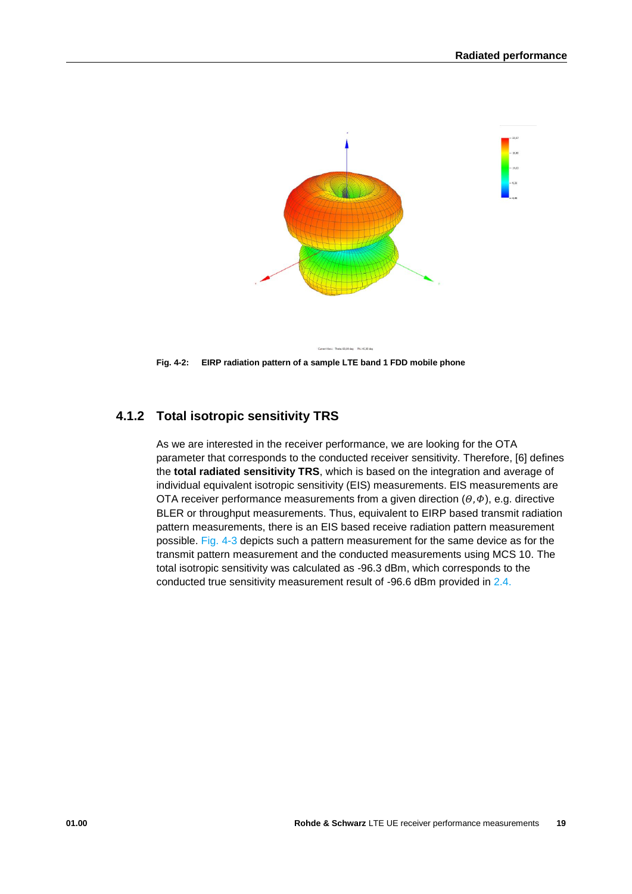

<span id="page-18-1"></span><span id="page-18-0"></span>**Fig. 4-2: EIRP radiation pattern of a sample LTE band 1 FDD mobile phone**

### **4.1.2 Total isotropic sensitivity TRS**

As we are interested in the receiver performance, we are looking for the OTA parameter that corresponds to the conducted receiver sensitivity. Therefore, [6] defines the **total radiated sensitivity TRS**, which is based on the integration and average of individual equivalent isotropic sensitivity (EIS) measurements. EIS measurements are OTA receiver performance measurements from a given direction  $(\theta, \phi)$ , e.g. directive BLER or throughput measurements. Thus, equivalent to EIRP based transmit radiation pattern measurements, there is an EIS based receive radiation pattern measurement possible. [Fig. 4-3](#page-19-2) depicts such a pattern measurement for the same device as for the transmit pattern measurement and the conducted measurements using MCS 10. The total isotropic sensitivity was calculated as -96.3 dBm, which corresponds to the conducted true sensitivity measurement result of -96.6 dBm provided in [2.4.](#page-11-0)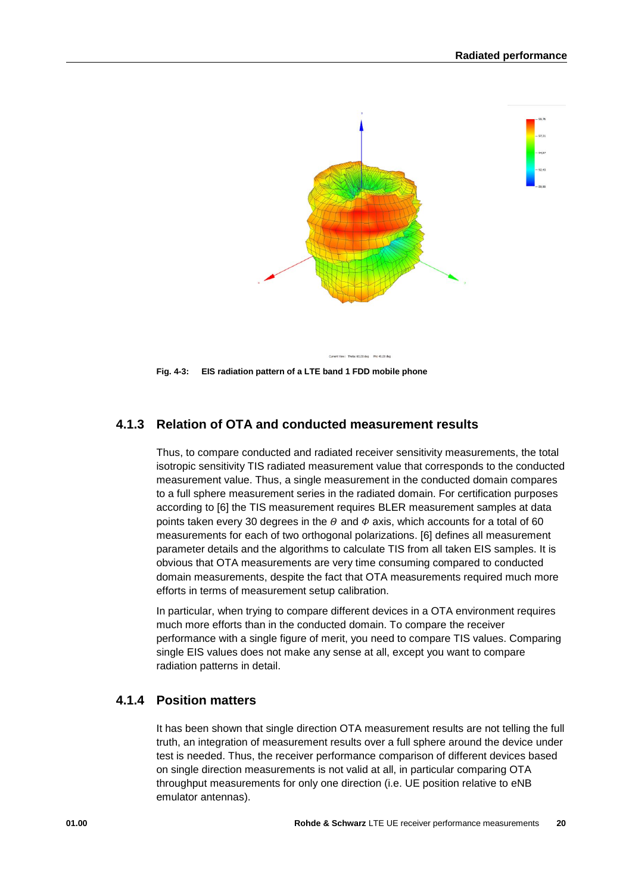

<span id="page-19-2"></span><span id="page-19-0"></span>**Fig. 4-3: EIS radiation pattern of a LTE band 1 FDD mobile phone**

### **4.1.3 Relation of OTA and conducted measurement results**

Thus, to compare conducted and radiated receiver sensitivity measurements, the total isotropic sensitivity TIS radiated measurement value that corresponds to the conducted measurement value. Thus, a single measurement in the conducted domain compares to a full sphere measurement series in the radiated domain. For certification purposes according to [6] the TIS measurement requires BLER measurement samples at data points taken every 30 degrees in the  $\theta$  and  $\phi$  axis, which accounts for a total of 60 measurements for each of two orthogonal polarizations. [6] defines all measurement parameter details and the algorithms to calculate TIS from all taken EIS samples. It is obvious that OTA measurements are very time consuming compared to conducted domain measurements, despite the fact that OTA measurements required much more efforts in terms of measurement setup calibration.

In particular, when trying to compare different devices in a OTA environment requires much more efforts than in the conducted domain. To compare the receiver performance with a single figure of merit, you need to compare TIS values. Comparing single EIS values does not make any sense at all, except you want to compare radiation patterns in detail.

#### <span id="page-19-1"></span>**4.1.4 Position matters**

It has been shown that single direction OTA measurement results are not telling the full truth, an integration of measurement results over a full sphere around the device under test is needed. Thus, the receiver performance comparison of different devices based on single direction measurements is not valid at all, in particular comparing OTA throughput measurements for only one direction (i.e. UE position relative to eNB emulator antennas).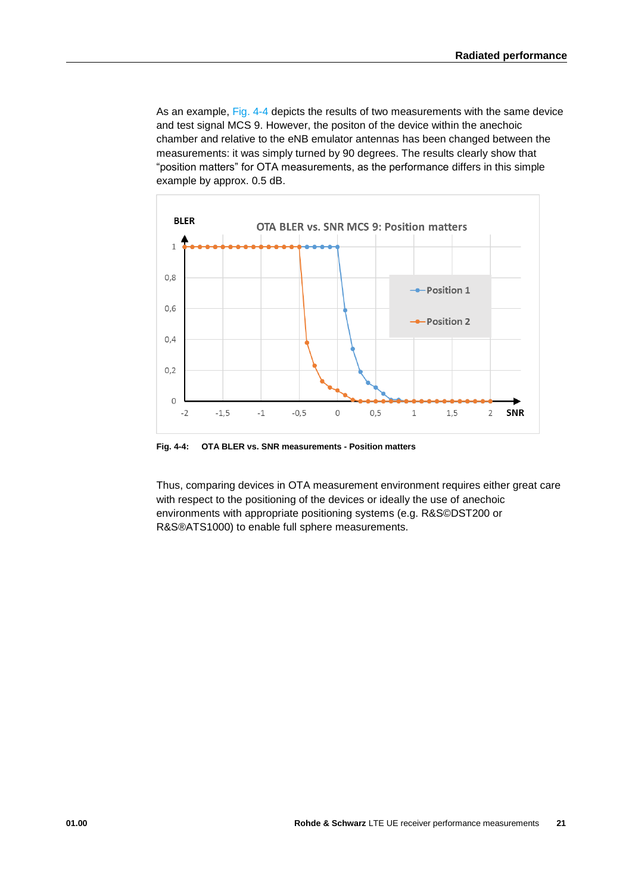As an example, [Fig. 4-4](#page-20-0) depicts the results of two measurements with the same device and test signal MCS 9. However, the positon of the device within the anechoic chamber and relative to the eNB emulator antennas has been changed between the measurements: it was simply turned by 90 degrees. The results clearly show that "position matters" for OTA measurements, as the performance differs in this simple example by approx. 0.5 dB.



<span id="page-20-0"></span>**Fig. 4-4: OTA BLER vs. SNR measurements - Position matters**

Thus, comparing devices in OTA measurement environment requires either great care with respect to the positioning of the devices or ideally the use of anechoic environments with appropriate positioning systems (e.g. R&S©DST200 or R&S®ATS1000) to enable full sphere measurements.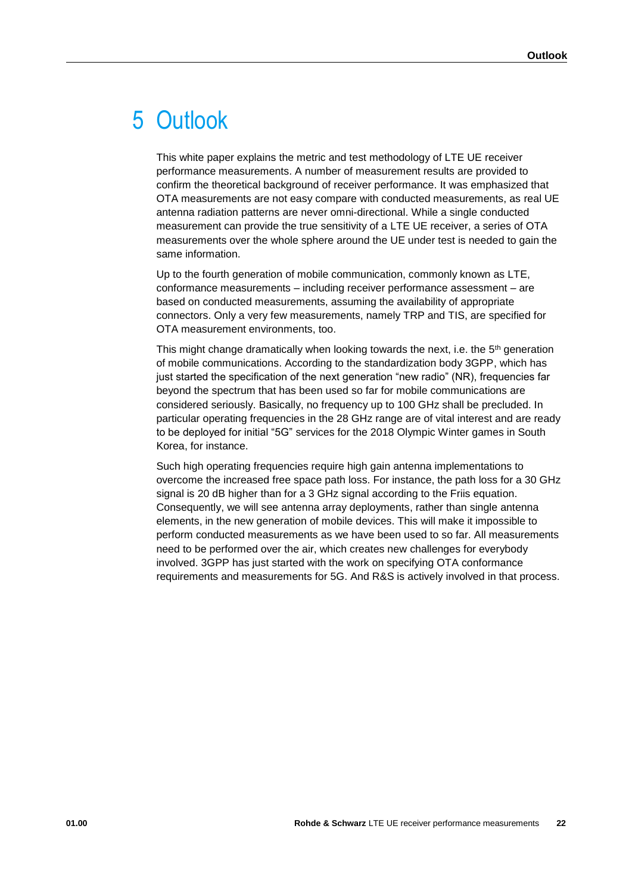# <span id="page-21-0"></span>5 Outlook

This white paper explains the metric and test methodology of LTE UE receiver performance measurements. A number of measurement results are provided to confirm the theoretical background of receiver performance. It was emphasized that OTA measurements are not easy compare with conducted measurements, as real UE antenna radiation patterns are never omni-directional. While a single conducted measurement can provide the true sensitivity of a LTE UE receiver, a series of OTA measurements over the whole sphere around the UE under test is needed to gain the same information.

Up to the fourth generation of mobile communication, commonly known as LTE, conformance measurements – including receiver performance assessment – are based on conducted measurements, assuming the availability of appropriate connectors. Only a very few measurements, namely TRP and TIS, are specified for OTA measurement environments, too.

This might change dramatically when looking towards the next, i.e. the 5<sup>th</sup> generation of mobile communications. According to the standardization body 3GPP, which has just started the specification of the next generation "new radio" (NR), frequencies far beyond the spectrum that has been used so far for mobile communications are considered seriously. Basically, no frequency up to 100 GHz shall be precluded. In particular operating frequencies in the 28 GHz range are of vital interest and are ready to be deployed for initial "5G" services for the 2018 Olympic Winter games in South Korea, for instance.

Such high operating frequencies require high gain antenna implementations to overcome the increased free space path loss. For instance, the path loss for a 30 GHz signal is 20 dB higher than for a 3 GHz signal according to the Friis equation. Consequently, we will see antenna array deployments, rather than single antenna elements, in the new generation of mobile devices. This will make it impossible to perform conducted measurements as we have been used to so far. All measurements need to be performed over the air, which creates new challenges for everybody involved. 3GPP has just started with the work on specifying OTA conformance requirements and measurements for 5G. And R&S is actively involved in that process.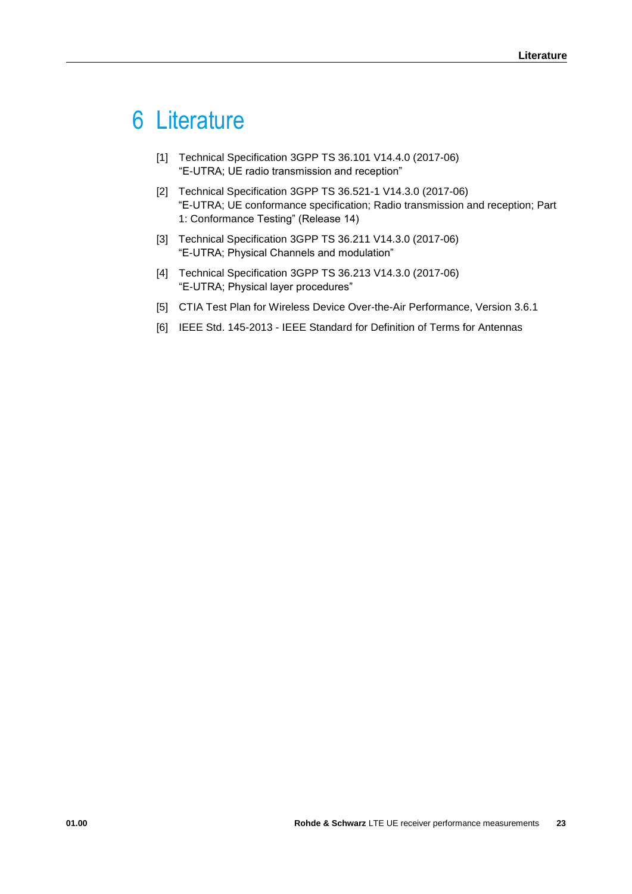# <span id="page-22-0"></span>6 Literature

- [1] Technical Specification 3GPP TS 36.101 V14.4.0 (2017-06) "E-UTRA; UE radio transmission and reception"
- [2] Technical Specification 3GPP TS 36.521-1 V14.3.0 (2017-06) "E-UTRA; UE conformance specification; Radio transmission and reception; Part 1: Conformance Testing" (Release 14)
- [3] Technical Specification 3GPP TS 36.211 V14.3.0 (2017-06) "E-UTRA; Physical Channels and modulation"
- [4] Technical Specification 3GPP TS 36.213 V14.3.0 (2017-06) "E-UTRA; Physical layer procedures"
- [5] CTIA Test Plan for Wireless Device Over-the-Air Performance, Version 3.6.1
- [6] IEEE Std. 145-2013 IEEE Standard for Definition of Terms for Antennas